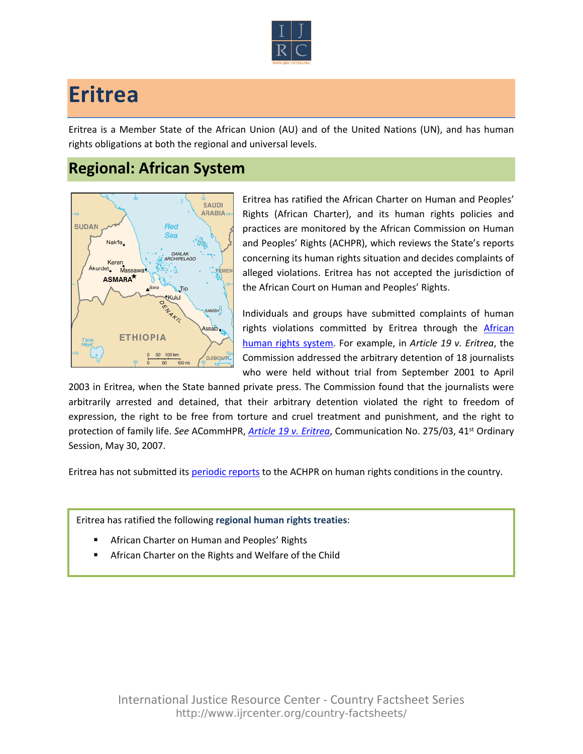

## **Eritrea**

Eritrea is a Member State of the African Union (AU) and of the United Nations (UN), and has human rights obligations at both the regional and universal levels.

## **Regional: African System**



Eritrea has ratified the African Charter on Human and Peoples' Rights (African Charter), and its human rights policies and practices are monitored by the African Commission on Human and Peoples' Rights (ACHPR), which reviews the State's reports concerning its human rights situation and decides complaints of alleged violations. Eritrea has not accepted the jurisdiction of the African Court on Human and Peoples' Rights.

Individuals and groups have submitted complaints of human rights violations committed by Eritrea through the African [human rights system](http://www.ijrcenter.org/regional/african/). For example, in *Article 19 v. Eritrea*, the Commission addressed the arbitrary detention of 18 journalists who were held without trial from September 2001 to April

2003 in Eritrea, when the State banned private press. The Commission found that the journalists were arbitrarily arrested and detained, that their arbitrary detention violated the right to freedom of expression, the right to be free from torture and cruel treatment and punishment, and the right to protection of family life. *See* ACommHPR, *[Article 19 v. Eritrea](http://www.achpr.org/files/sessions/41st/comunications/275.03/achpr41_275_03_eng.pdf)*, Communication No. 275/03, 41st Ordinary Session, May 30, 2007.

Eritrea has not submitted its [periodic reports](http://www.achpr.org/states/eritrea/) to the ACHPR on human rights conditions in the country.

Eritrea has ratified the following **regional human rights treaties**:

- African Charter on Human and Peoples' Rights
- African Charter on the Rights and Welfare of the Child